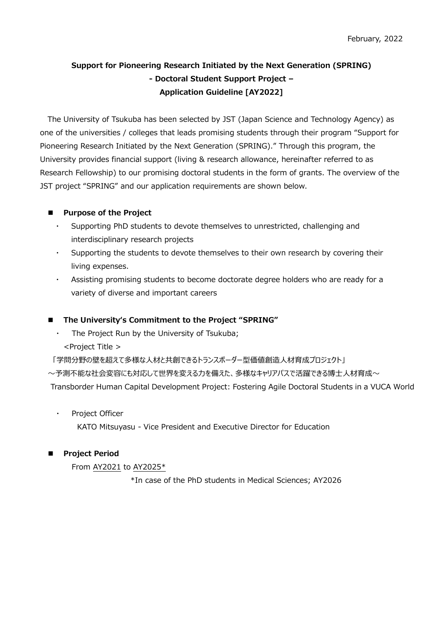# **Support for Pioneering Research Initiated by the Next Generation (SPRING) - Doctoral Student Support Project – Application Guideline [AY2022]**

The University of Tsukuba has been selected by JST (Japan Science and Technology Agency) as one of the universities / colleges that leads promising students through their program "Support for Pioneering Research Initiated by the Next Generation (SPRING)." Through this program, the University provides financial support (living & research allowance, hereinafter referred to as Research Fellowship) to our promising doctoral students in the form of grants. The overview of the JST project "SPRING" and our application requirements are shown below.

# **Purpose of the Project**

- ・ Supporting PhD students to devote themselves to unrestricted, challenging and interdisciplinary research projects
- Supporting the students to devote themselves to their own research by covering their living expenses.
- Assisting promising students to become doctorate degree holders who are ready for a variety of diverse and important careers

# **The Universityʻs Commitment to the Project "SPRING"**

The Project Run by the University of Tsukuba; <Project Title >

「学問分野の壁を超えて多様な人材と共創できるトランスボーダー型価値創造人材育成プロジェクト」

〜予測不能な社会変容にも対応して世界を変える力を備えた、多様なキャリアパスで活躍できる博士人材育成〜

Transborder Human Capital Development Project: Fostering Agile Doctoral Students in a VUCA World

Project Officer

KATO Mitsuyasu - Vice President and Executive Director for Education

# **Project Period**

From AY2021 to AY2025\*

\*In case of the PhD students in Medical Sciences; AY2026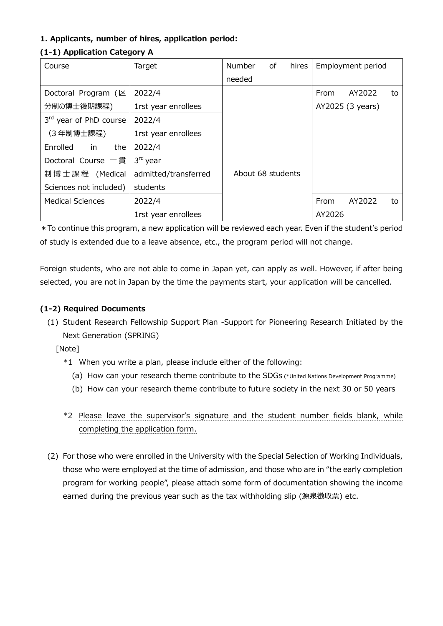# **1. Applicants, number of hires, application period:**

| Course                                 | Target               | <b>Number</b><br>of | hires |        | Employment period |    |
|----------------------------------------|----------------------|---------------------|-------|--------|-------------------|----|
|                                        |                      | needed              |       |        |                   |    |
| Doctoral Program $(\boxtimes$          | 2022/4               |                     |       | From   | AY2022            | to |
| 分制の博士後期課程)                             | 1rst year enrollees  |                     |       |        | AY2025 (3 years)  |    |
| 3rd year of PhD course                 | 2022/4               |                     |       |        |                   |    |
| (3年制博士課程)                              | 1rst year enrollees  |                     |       |        |                   |    |
| Enrolled<br>the<br>in                  | 2022/4               |                     |       |        |                   |    |
| Doctoral Course 一貫                     | 3 <sup>rd</sup> year |                     |       |        |                   |    |
| 制博士課程 (Medical<br>admitted/transferred |                      | About 68 students   |       |        |                   |    |
| Sciences not included)                 | students             |                     |       |        |                   |    |
| <b>Medical Sciences</b>                | 2022/4               |                     |       | From   | AY2022            | to |
|                                        | 1rst year enrollees  |                     |       | AY2026 |                   |    |

# **(1-1) Application Category A**

\*To continue this program, a new application will be reviewed each year. Even if the student's period of study is extended due to a leave absence, etc., the program period will not change.

Foreign students, who are not able to come in Japan yet, can apply as well. However, if after being selected, you are not in Japan by the time the payments start, your application will be cancelled.

### **(1-2) Required Documents**

(1) Student Research Fellowship Support Plan -Support for Pioneering Research Initiated by the Next Generation (SPRING)

[Note]

- \*1 When you write a plan, please include either of the following:
	- (a) How can your research theme contribute to the SDGs (\*United Nations Development Programme)
	- (b) How can your research theme contribute to future society in the next 30 or 50 years
- \*2 Please leave the supervisor's signature and the student number fields blank, while completing the application form.
- (2) For those who were enrolled in the University with the Special Selection of Working Individuals, those who were employed at the time of admission, and those who are in "the early completion program for working people", please attach some form of documentation showing the income earned during the previous year such as the tax withholding slip (源泉徴収票) etc.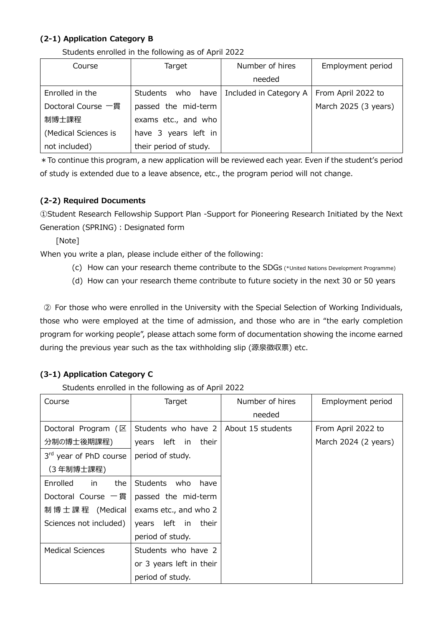# **(2-1) Application Category B**

|  |  |  |  | Students enrolled in the following as of April 2022 |  |  |  |  |
|--|--|--|--|-----------------------------------------------------|--|--|--|--|
|--|--|--|--|-----------------------------------------------------|--|--|--|--|

| Course               | Target                 | Number of hires        | Employment period    |
|----------------------|------------------------|------------------------|----------------------|
|                      |                        | needed                 |                      |
| Enrolled in the      | Students who have      | Included in Category A | From April 2022 to   |
| Doctoral Course 一貫   | passed the mid-term    |                        | March 2025 (3 years) |
| 制博士課程                | exams etc., and who    |                        |                      |
| (Medical Sciences is | have 3 years left in   |                        |                      |
| not included)        | their period of study. |                        |                      |

\*To continue this program, a new application will be reviewed each year. Even if the student's period of study is extended due to a leave absence, etc., the program period will not change.

# **(2-2) Required Documents**

①Student Research Fellowship Support Plan -Support for Pioneering Research Initiated by the Next Generation (SPRING) : Designated form

[Note]

When you write a plan, please include either of the following:

- (c) How can your research theme contribute to the SDGs (\*United Nations Development Programme)
- (d) How can your research theme contribute to future society in the next 30 or 50 years

② For those who were enrolled in the University with the Special Selection of Working Individuals, those who were employed at the time of admission, and those who are in "the early completion program for working people", please attach some form of documentation showing the income earned during the previous year such as the tax withholding slip (源泉徴収票) etc.

# **(3-1) Application Category C**

Students enrolled in the following as of April 2022

| Course                        | Target                   | Number of hires   | Employment period    |
|-------------------------------|--------------------------|-------------------|----------------------|
|                               |                          | needed            |                      |
| Doctoral Program $(\boxtimes$ | Students who have 2      | About 15 students | From April 2022 to   |
| 分制の博士後期課程)                    | years left in their      |                   | March 2024 (2 years) |
| 3rd year of PhD course        | period of study.         |                   |                      |
| (3年制博士課程)                     |                          |                   |                      |
| Enrolled<br>the<br>in.        | Students who have        |                   |                      |
| Doctoral Course 一貫            | passed the mid-term      |                   |                      |
| 制博士課程 (Medical                | exams etc., and who 2    |                   |                      |
| Sciences not included)        | years left in their      |                   |                      |
|                               | period of study.         |                   |                      |
| <b>Medical Sciences</b>       | Students who have 2      |                   |                      |
|                               | or 3 years left in their |                   |                      |
|                               | period of study.         |                   |                      |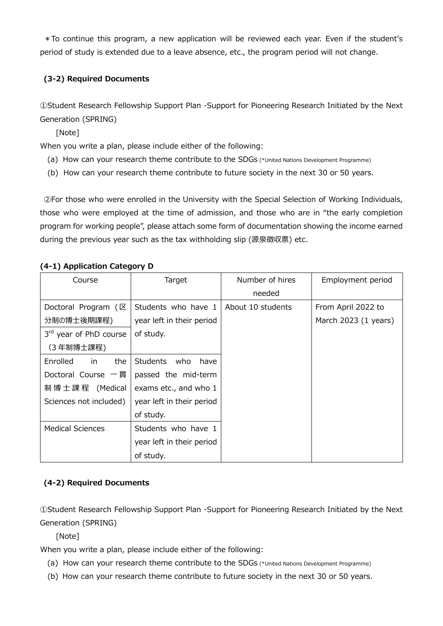\*To continue this program, a new application will be reviewed each year. Even if the student's period of study is extended due to a leave absence, etc., the program period will not change.

# **(3-2) Required Documents**

①Student Research Fellowship Support Plan -Support for Pioneering Research Initiated by the Next Generation (SPRING)

[Note]

When you write a plan, please include either of the following:

- (a) How can your research theme contribute to the SDGs (\*United Nations Development Programme)
- (b) How can your research theme contribute to future society in the next 30 or 50 years.

②For those who were enrolled in the University with the Special Selection of Working Individuals, those who were employed at the time of admission, and those who are in "the early completion program for working people", please attach some form of documentation showing the income earned during the previous year such as the tax withholding slip (源泉徴収票) etc.

| Course                  | Target                    | Number of hires   | Employment period    |
|-------------------------|---------------------------|-------------------|----------------------|
|                         |                           | needed            |                      |
| Doctoral Program $(E)$  | Students who have 1       | About 10 students | From April 2022 to   |
| 分制の博士後期課程)              | year left in their period |                   | March 2023 (1 years) |
| 3rd year of PhD course  | of study.                 |                   |                      |
| (3 年制博士課程)              |                           |                   |                      |
| Enrolled<br>the<br>in.  | Students who<br>have      |                   |                      |
| Doctoral Course 一貫      | passed the mid-term       |                   |                      |
| 制 博 士 課 程 (Medical      | exams etc., and who 1     |                   |                      |
| Sciences not included)  | year left in their period |                   |                      |
|                         | of study.                 |                   |                      |
| <b>Medical Sciences</b> | Students who have 1       |                   |                      |
|                         | year left in their period |                   |                      |
|                         | of study.                 |                   |                      |

# **(4-1) Application Category D**

# **(4-2) Required Documents**

①Student Research Fellowship Support Plan -Support for Pioneering Research Initiated by the Next Generation (SPRING)

[Note]

When you write a plan, please include either of the following:

- (a) How can your research theme contribute to the SDGs (\*United Nations Development Programme)
- (b) How can your research theme contribute to future society in the next 30 or 50 years.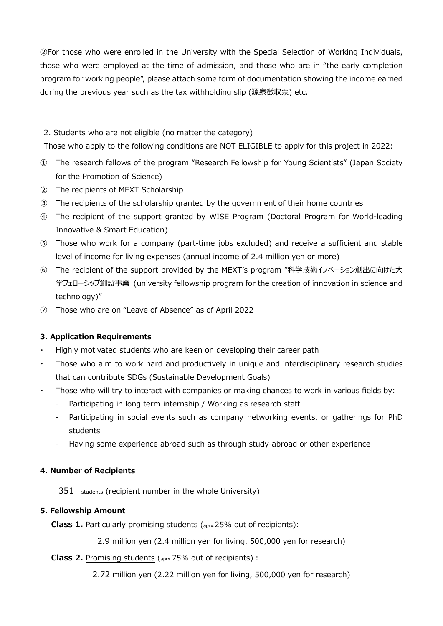②For those who were enrolled in the University with the Special Selection of Working Individuals, those who were employed at the time of admission, and those who are in "the early completion program for working people", please attach some form of documentation showing the income earned during the previous year such as the tax withholding slip (源泉徴収票) etc.

#### 2. Students who are not eligible (no matter the category)

Those who apply to the following conditions are NOT ELIGIBLE to apply for this project in 2022:

- ① The research fellows of the program "Research Fellowship for Young Scientists" (Japan Society for the Promotion of Science)
- ② The recipients of MEXT Scholarship
- ③ The recipients of the scholarship granted by the government of their home countries
- ④ The recipient of the support granted by WISE Program (Doctoral Program for World-leading Innovative & Smart Education)
- ⑤ Those who work for a company (part-time jobs excluded) and receive a sufficient and stable level of income for living expenses (annual income of 2.4 million yen or more)
- ⑥ The recipient of the support provided by the MEXT's program "科学技術イノベーション創出に向けた大 学フェローシップ創設事業 (university fellowship program for the creation of innovation in science and technology)"
- ⑦ Those who are on "Leave of Absence" as of April 2022

# **3. Application Requirements**

- Highly motivated students who are keen on developing their career path
- Those who aim to work hard and productively in unique and interdisciplinary research studies that can contribute SDGs (Sustainable Development Goals)
- Those who will try to interact with companies or making chances to work in various fields by:
	- Participating in long term internship / Working as research staff
	- Participating in social events such as company networking events, or gatherings for PhD students
	- Having some experience abroad such as through study-abroad or other experience

#### **4. Number of Recipients**

351 students (recipient number in the whole University)

#### **5. Fellowship Amount**

**Class 1.** Particularly promising students (aprx.25% out of recipients):

2.9 million yen (2.4 million yen for living, 500,000 yen for research)

**Class 2.** Promising students (aprx.75% out of recipients) :

2.72 million yen (2.22 million yen for living, 500,000 yen for research)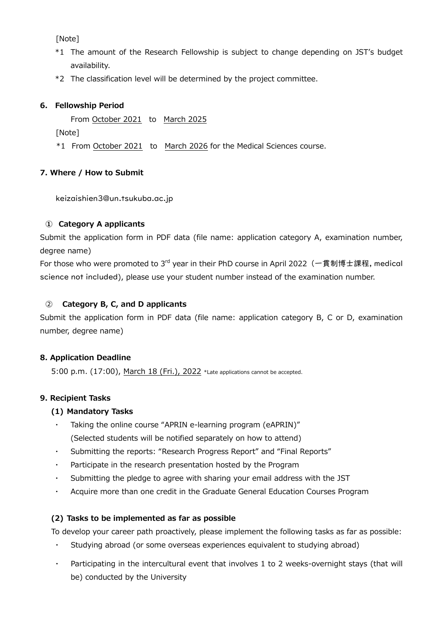[Note]

- \*1 The amount of the Research Fellowship is subject to change depending on JST's budget availability.
- \*2 The classification level will be determined by the project committee.

# **6. Fellowship Period**

From October 2021 to March 2025

[Note]

\*1 From October 2021 to March 2026 for the Medical Sciences course.

# **7. Where / How to Submit**

keizaishien3@un.tsukuba.ac.jp

# **① Category A applicants**

Submit the application form in PDF data (file name: application category A, examination number, degree name)

For those who were promoted to 3<sup>rd</sup> year in their PhD course in April 2022 (一貫制博士課程, medical science not included), please use your student number instead of the examination number.

# ② **Category B, C, and D applicants**

Submit the application form in PDF data (file name: application category B, C or D, examination number, degree name)

#### **8. Application Deadline**

5:00 p.m. (17:00), March 18 (Fri.), 2022 \*Late applications cannot be accepted.

# **9. Recipient Tasks**

#### **(1) Mandatory Tasks**

- Taking the online course "APRIN e-learning program (eAPRIN)" (Selected students will be notified separately on how to attend)
- Submitting the reports: "Research Progress Report" and "Final Reports"
- ・ Participate in the research presentation hosted by the Program
- ・ Submitting the pledge to agree with sharing your email address with the JST
- ・ Acquire more than one credit in the Graduate General Education Courses Program

#### **(2) Tasks to be implemented as far as possible**

To develop your career path proactively, please implement the following tasks as far as possible:

- Studying abroad (or some overseas experiences equivalent to studying abroad)
- Participating in the intercultural event that involves 1 to 2 weeks-overnight stays (that will be) conducted by the University